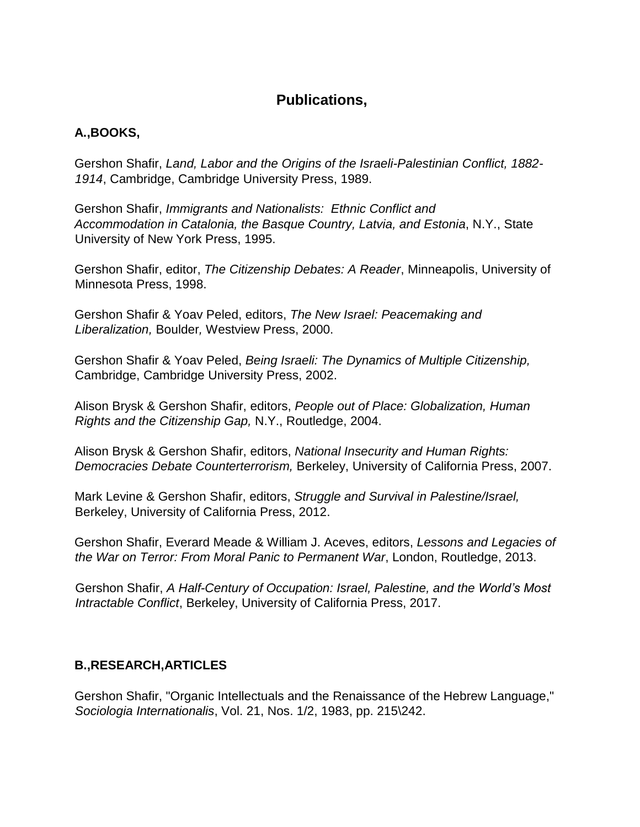## **Publications,**

## **A.,BOOKS,**

Gershon Shafir, *Land, Labor and the Origins of the Israeli-Palestinian Conflict, 1882- 1914*, Cambridge, Cambridge University Press, 1989.

Gershon Shafir, *Immigrants and Nationalists: Ethnic Conflict and Accommodation in Catalonia, the Basque Country, Latvia, and Estonia*, N.Y., State University of New York Press, 1995.

Gershon Shafir, editor, *The Citizenship Debates: A Reader*, Minneapolis, University of Minnesota Press, 1998.

Gershon Shafir & Yoav Peled, editors, *The New Israel: Peacemaking and Liberalization,* Boulder*,* Westview Press, 2000.

Gershon Shafir & Yoav Peled, *Being Israeli: The Dynamics of Multiple Citizenship,* Cambridge, Cambridge University Press, 2002.

Alison Brysk & Gershon Shafir, editors, *People out of Place: Globalization, Human Rights and the Citizenship Gap,* N.Y., Routledge, 2004.

Alison Brysk & Gershon Shafir, editors, *National Insecurity and Human Rights: Democracies Debate Counterterrorism,* Berkeley, University of California Press, 2007.

Mark Levine & Gershon Shafir, editors, *Struggle and Survival in Palestine/Israel,* Berkeley, University of California Press, 2012.

Gershon Shafir, Everard Meade & William J. Aceves, editors, *Lessons and Legacies of the War on Terror: From Moral Panic to Permanent War*, London, Routledge, 2013.

Gershon Shafir, *A Half-Century of Occupation: Israel, Palestine, and the World's Most Intractable Conflict*, Berkeley, University of California Press, 2017.

## **B.,RESEARCH,ARTICLES**

Gershon Shafir, "Organic Intellectuals and the Renaissance of the Hebrew Language," *Sociologia Internationalis*, Vol. 21, Nos. 1/2, 1983, pp. 215\242.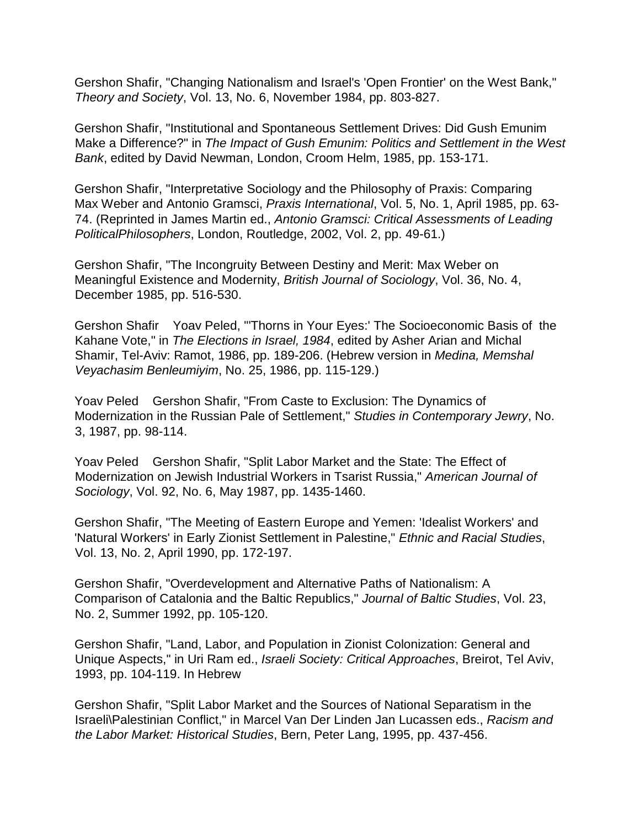Gershon Shafir, "Changing Nationalism and Israel's 'Open Frontier' on the West Bank," *Theory and Society*, Vol. 13, No. 6, November 1984, pp. 803-827.

Gershon Shafir, "Institutional and Spontaneous Settlement Drives: Did Gush Emunim Make a Difference?" in *The Impact of Gush Emunim: Politics and Settlement in the West Bank*, edited by David Newman, London, Croom Helm, 1985, pp. 153-171.

Gershon Shafir, "Interpretative Sociology and the Philosophy of Praxis: Comparing Max Weber and Antonio Gramsci, *Praxis International*, Vol. 5, No. 1, April 1985, pp. 63- 74. (Reprinted in James Martin ed., *Antonio Gramsci: Critical Assessments of Leading PoliticalPhilosophers*, London, Routledge, 2002, Vol. 2, pp. 49-61.)

Gershon Shafir, "The Incongruity Between Destiny and Merit: Max Weber on Meaningful Existence and Modernity, *British Journal of Sociology*, Vol. 36, No. 4, December 1985, pp. 516-530.

Gershon Shafir Yoav Peled, "'Thorns in Your Eyes:' The Socioeconomic Basis of the Kahane Vote," in *The Elections in Israel, 1984*, edited by Asher Arian and Michal Shamir, Tel-Aviv: Ramot, 1986, pp. 189-206. (Hebrew version in *Medina, Memshal Veyachasim Benleumiyim*, No. 25, 1986, pp. 115-129.)

Yoav Peled Gershon Shafir, "From Caste to Exclusion: The Dynamics of Modernization in the Russian Pale of Settlement," *Studies in Contemporary Jewry*, No. 3, 1987, pp. 98-114.

Yoav Peled Gershon Shafir, "Split Labor Market and the State: The Effect of Modernization on Jewish Industrial Workers in Tsarist Russia," *American Journal of Sociology*, Vol. 92, No. 6, May 1987, pp. 1435-1460.

Gershon Shafir, "The Meeting of Eastern Europe and Yemen: 'Idealist Workers' and 'Natural Workers' in Early Zionist Settlement in Palestine," *Ethnic and Racial Studies*, Vol. 13, No. 2, April 1990, pp. 172-197.

Gershon Shafir, "Overdevelopment and Alternative Paths of Nationalism: A Comparison of Catalonia and the Baltic Republics," *Journal of Baltic Studies*, Vol. 23, No. 2, Summer 1992, pp. 105-120.

Gershon Shafir, "Land, Labor, and Population in Zionist Colonization: General and Unique Aspects," in Uri Ram ed., *Israeli Society: Critical Approaches*, Breirot, Tel Aviv, 1993, pp. 104-119. In Hebrew

Gershon Shafir, "Split Labor Market and the Sources of National Separatism in the Israeli\Palestinian Conflict," in Marcel Van Der Linden Jan Lucassen eds., *Racism and the Labor Market: Historical Studies*, Bern, Peter Lang, 1995, pp. 437-456.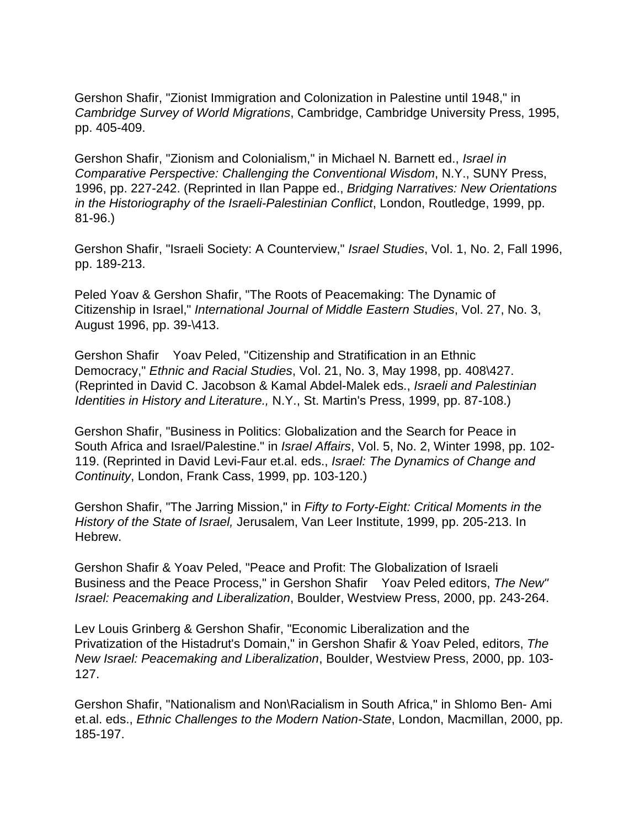Gershon Shafir, "Zionist Immigration and Colonization in Palestine until 1948," in *Cambridge Survey of World Migrations*, Cambridge, Cambridge University Press, 1995, pp. 405-409.

Gershon Shafir, "Zionism and Colonialism," in Michael N. Barnett ed., *Israel in Comparative Perspective: Challenging the Conventional Wisdom*, N.Y., SUNY Press, 1996, pp. 227-242. (Reprinted in Ilan Pappe ed., *Bridging Narratives: New Orientations in the Historiography of the Israeli-Palestinian Conflict*, London, Routledge, 1999, pp. 81-96.)

Gershon Shafir, "Israeli Society: A Counterview," *Israel Studies*, Vol. 1, No. 2, Fall 1996, pp. 189-213.

Peled Yoav & Gershon Shafir, "The Roots of Peacemaking: The Dynamic of Citizenship in Israel," *International Journal of Middle Eastern Studies*, Vol. 27, No. 3, August 1996, pp. 39-\413.

Gershon Shafir Yoav Peled, "Citizenship and Stratification in an Ethnic Democracy," *Ethnic and Racial Studies*, Vol. 21, No. 3, May 1998, pp. 408\427. (Reprinted in David C. Jacobson & Kamal Abdel-Malek eds., *Israeli and Palestinian Identities in History and Literature.,* N.Y., St. Martin's Press, 1999, pp. 87-108.)

Gershon Shafir, "Business in Politics: Globalization and the Search for Peace in South Africa and Israel/Palestine." in *Israel Affairs*, Vol. 5, No. 2, Winter 1998, pp. 102- 119. (Reprinted in David Levi-Faur et.al. eds., *Israel: The Dynamics of Change and Continuity*, London, Frank Cass, 1999, pp. 103-120.)

Gershon Shafir, "The Jarring Mission," in *Fifty to Forty-Eight: Critical Moments in the History of the State of Israel,* Jerusalem, Van Leer Institute, 1999, pp. 205-213. In Hebrew.

Gershon Shafir & Yoav Peled, "Peace and Profit: The Globalization of Israeli Business and the Peace Process," in Gershon Shafir Yoav Peled editors, *The New" Israel: Peacemaking and Liberalization*, Boulder, Westview Press, 2000, pp. 243-264.

Lev Louis Grinberg & Gershon Shafir, "Economic Liberalization and the Privatization of the Histadrut's Domain," in Gershon Shafir & Yoav Peled, editors, *The New Israel: Peacemaking and Liberalization*, Boulder, Westview Press, 2000, pp. 103- 127.

Gershon Shafir, "Nationalism and Non\Racialism in South Africa," in Shlomo Ben- Ami et.al. eds., *Ethnic Challenges to the Modern Nation-State*, London, Macmillan, 2000, pp. 185-197.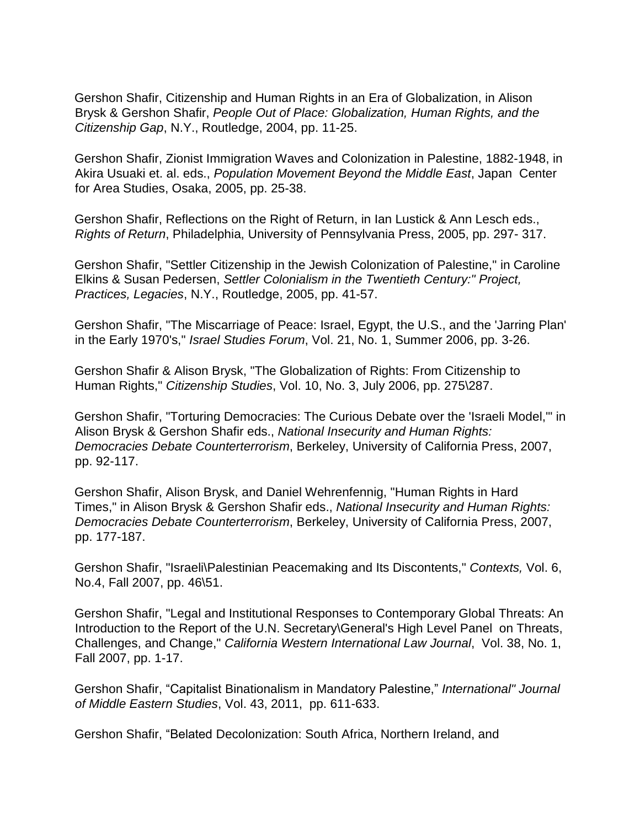Gershon Shafir, Citizenship and Human Rights in an Era of Globalization, in Alison Brysk & Gershon Shafir, *People Out of Place: Globalization, Human Rights, and the Citizenship Gap*, N.Y., Routledge, 2004, pp. 11-25.

Gershon Shafir, Zionist Immigration Waves and Colonization in Palestine, 1882-1948, in Akira Usuaki et. al. eds., *Population Movement Beyond the Middle East*, Japan Center for Area Studies, Osaka, 2005, pp. 25-38.

Gershon Shafir, Reflections on the Right of Return, in Ian Lustick & Ann Lesch eds., *Rights of Return*, Philadelphia, University of Pennsylvania Press, 2005, pp. 297- 317.

Gershon Shafir, "Settler Citizenship in the Jewish Colonization of Palestine," in Caroline Elkins & Susan Pedersen, *Settler Colonialism in the Twentieth Century:" Project, Practices, Legacies*, N.Y., Routledge, 2005, pp. 41-57.

Gershon Shafir, "The Miscarriage of Peace: Israel, Egypt, the U.S., and the 'Jarring Plan' in the Early 1970's," *Israel Studies Forum*, Vol. 21, No. 1, Summer 2006, pp. 3-26.

Gershon Shafir & Alison Brysk, "The Globalization of Rights: From Citizenship to Human Rights," *Citizenship Studies*, Vol. 10, No. 3, July 2006, pp. 275\287.

Gershon Shafir, "Torturing Democracies: The Curious Debate over the 'Israeli Model,'" in Alison Brysk & Gershon Shafir eds., *National Insecurity and Human Rights: Democracies Debate Counterterrorism*, Berkeley, University of California Press, 2007, pp. 92-117.

Gershon Shafir, Alison Brysk, and Daniel Wehrenfennig, "Human Rights in Hard Times," in Alison Brysk & Gershon Shafir eds., *National Insecurity and Human Rights: Democracies Debate Counterterrorism*, Berkeley, University of California Press, 2007, pp. 177-187.

Gershon Shafir, "Israeli\Palestinian Peacemaking and Its Discontents," *Contexts,* Vol. 6, No.4, Fall 2007, pp. 46\51.

Gershon Shafir, "Legal and Institutional Responses to Contemporary Global Threats: An Introduction to the Report of the U.N. Secretary\General's High Level Panel on Threats, Challenges, and Change," *California Western International Law Journal*, Vol. 38, No. 1, Fall 2007, pp. 1-17.

Gershon Shafir, "Capitalist Binationalism in Mandatory Palestine," *International" Journal of Middle Eastern Studies*, Vol. 43, 2011, pp. 611-633.

Gershon Shafir, "Belated Decolonization: South Africa, Northern Ireland, and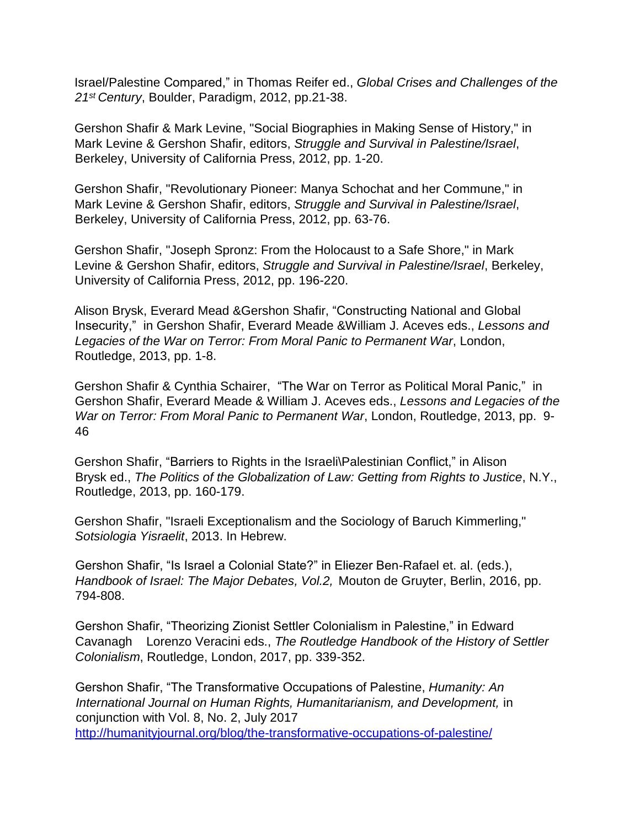Israel/Palestine Compared," in Thomas Reifer ed., *Global Crises and Challenges of the 21st Century*, Boulder, Paradigm, 2012, pp.21-38.

Gershon Shafir & Mark Levine, "Social Biographies in Making Sense of History," in Mark Levine & Gershon Shafir, editors, *Struggle and Survival in Palestine/Israel*, Berkeley, University of California Press, 2012, pp. 1-20.

Gershon Shafir, "Revolutionary Pioneer: Manya Schochat and her Commune," in Mark Levine & Gershon Shafir, editors, *Struggle and Survival in Palestine/Israel*, Berkeley, University of California Press, 2012, pp. 63-76.

Gershon Shafir, "Joseph Spronz: From the Holocaust to a Safe Shore," in Mark Levine & Gershon Shafir, editors, *Struggle and Survival in Palestine/Israel*, Berkeley, University of California Press, 2012, pp. 196-220.

Alison Brysk, Everard Mead &Gershon Shafir, "Constructing National and Global Insecurity," in Gershon Shafir, Everard Meade &William J. Aceves eds., *Lessons and Legacies of the War on Terror: From Moral Panic to Permanent War*, London, Routledge, 2013, pp. 1-8.

Gershon Shafir & Cynthia Schairer, "The War on Terror as Political Moral Panic," in Gershon Shafir, Everard Meade & William J. Aceves eds., *Lessons and Legacies of the War on Terror: From Moral Panic to Permanent War*, London, Routledge, 2013, pp. 9- 46

Gershon Shafir, "Barriers to Rights in the Israeli\Palestinian Conflict," in Alison Brysk ed., *The Politics of the Globalization of Law: Getting from Rights to Justice*, N.Y., Routledge, 2013, pp. 160-179.

Gershon Shafir, "Israeli Exceptionalism and the Sociology of Baruch Kimmerling," *Sotsiologia Yisraelit*, 2013. In Hebrew.

Gershon Shafir, "Is Israel a Colonial State?" in Eliezer Ben-Rafael et. al. (eds.), *Handbook of Israel: The Major Debates, Vol.2,* Mouton de Gruyter, Berlin, 2016, pp. 794-808.

Gershon Shafir, "Theorizing Zionist Settler Colonialism in Palestine," **i**n Edward Cavanagh Lorenzo Veracini eds., *The Routledge Handbook of the History of Settler Colonialism*, Routledge, London, 2017, pp. 339-352.

Gershon Shafir, "The Transformative Occupations of Palestine, *Humanity: An*  International Journal on Human Rights, Humanitarianism, and Development, in conjunction with Vol. 8, No. 2, July 2017 <http://humanityjournal.org/blog/the-transformative-occupations-of-palestine/>